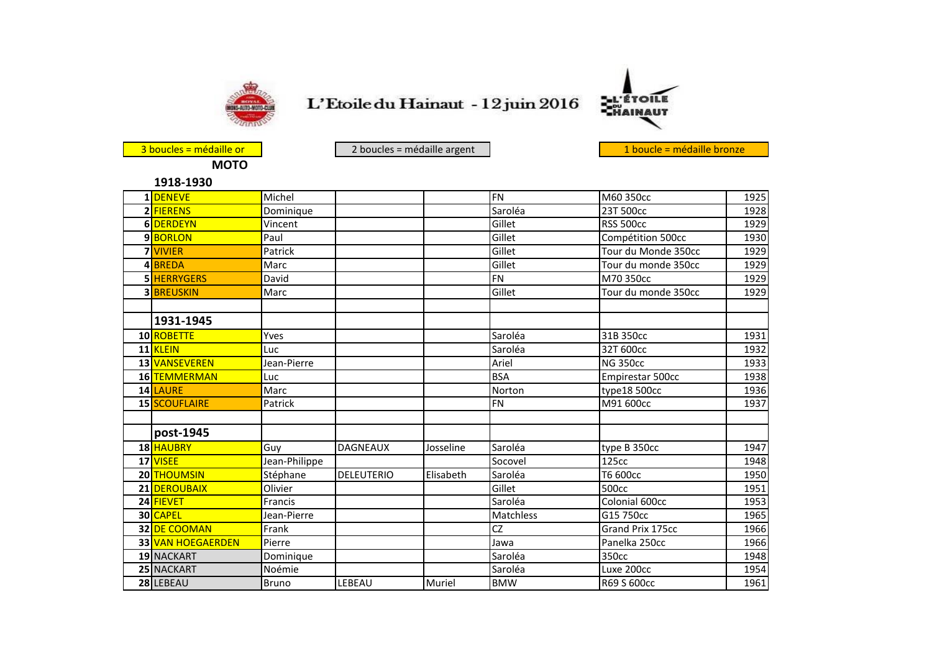

L'Etoile du Hainaut - 12 juin 2016



**MOTO**

3 boucles = médaille or de la contracte de la contracte de la contracte de la contracte de la contracte de la contracte de la contracte de la contracte de la contracte de la contracte de la contracte de la contracte de la

|  | 1918-1930 |  |
|--|-----------|--|

| 1DENEVE           | Michel        |                   |           | <b>FN</b>      | M60 350cc           | 1925 |
|-------------------|---------------|-------------------|-----------|----------------|---------------------|------|
| 2 FIERENS         | Dominique     |                   |           | Saroléa        | 23T 500cc           | 1928 |
| 6 DERDEYN         | Vincent       |                   |           | Gillet         | <b>RSS 500cc</b>    | 1929 |
| 9 <b>BORLON</b>   | Paul          |                   |           | Gillet         | Compétition 500cc   | 1930 |
| <b>7</b> VIVIER   | Patrick       |                   |           | Gillet         | Tour du Monde 350cc | 1929 |
| 4 <b>BREDA</b>    | Marc          |                   |           | Gillet         | Tour du monde 350cc | 1929 |
| 5 HERRYGERS       | David         |                   |           | F <sub>N</sub> | M70 350cc           | 1929 |
| <b>3 BREUSKIN</b> | Marc          |                   |           | Gillet         | Tour du monde 350cc | 1929 |
|                   |               |                   |           |                |                     |      |
| 1931-1945         |               |                   |           |                |                     |      |
| 10 ROBETTE        | Yves          |                   |           | Saroléa        | 31B 350cc           | 1931 |
| 11 KLEIN          | Luc           |                   |           | Saroléa        | 32T 600cc           | 1932 |
| 13 VANSEVEREN     | Jean-Pierre   |                   |           | Ariel          | <b>NG 350cc</b>     | 1933 |
| 16 TEMMERMAN      | Luc           |                   |           | <b>BSA</b>     | Empirestar 500cc    | 1938 |
| 14 LAURE          | Marc          |                   |           | Norton         | type18 500cc        | 1936 |
| 15 SCOUFLAIRE     | Patrick       |                   |           | <b>FN</b>      | M91 600cc           | 1937 |
|                   |               |                   |           |                |                     |      |
| post-1945         |               |                   |           |                |                     |      |
| 18 HAUBRY         | Guy           | <b>DAGNEAUX</b>   | Josseline | Saroléa        | type B 350cc        | 1947 |
| 17 VISEE          | Jean-Philippe |                   |           | Socovel        | 125cc               | 1948 |
| 20 THOUMSIN       | Stéphane      | <b>DELEUTERIO</b> | Elisabeth | Saroléa        | T6 600cc            | 1950 |
| 21 DEROUBAIX      | Olivier       |                   |           | Gillet         | 500cc               | 1951 |
| 24 FIEVET         | Francis       |                   |           | Saroléa        | Colonial 600cc      | 1953 |
| 30 CAPEL          | Jean-Pierre   |                   |           | Matchless      | G15 750cc           | 1965 |
| 32 DE COOMAN      | Frank         |                   |           | CZ             | Grand Prix 175cc    | 1966 |
| 33 VAN HOEGAERDEN | Pierre        |                   |           | Jawa           | Panelka 250cc       | 1966 |
| 19 NACKART        | Dominique     |                   |           | Saroléa        | 350cc               | 1948 |
| 25 NACKART        | Noémie        |                   |           | Saroléa        | Luxe 200cc          | 1954 |
| 28 LEBEAU         | <b>Bruno</b>  | LEBEAU            | Muriel    | <b>BMW</b>     | R69 S 600cc         | 1961 |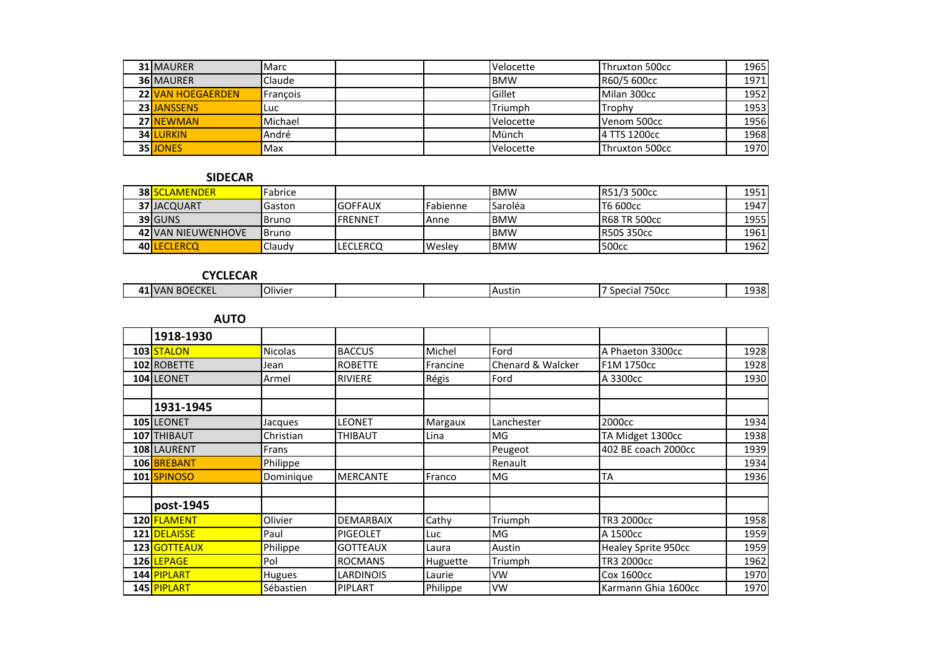| <b>31 MAURER</b>         | <b>Marc</b> |  | Velocette  | <b>I</b> Thruxton 500cc | 1965  |
|--------------------------|-------------|--|------------|-------------------------|-------|
| <b>36 MAURER</b>         | Claude      |  | <b>BMW</b> | R60/5 600cc             | 1971) |
| <b>22 VAN HOEGAERDEN</b> | Francois    |  | Gillet     | Milan 300cc             | 1952  |
| 23 JANSSENS              | Luc         |  | Triumph    | Trophy                  | 1953  |
| 27 NEWMAN                | Michael     |  | Velocette  | Venom 500cc             | 1956  |
| <b>34 LURKIN</b>         | André       |  | Münch      | 14 TTS 1200cc           | 1968  |
| 35 JONES                 | Max         |  | Velocette  | Thruxton 500cc          | 1970  |

## **SIDECAR**

| <b>38 SCLAMENDER</b>      | Fabrice        |           |                 | IBMW       | <b>R51/3 500cc</b>   | 1951  |
|---------------------------|----------------|-----------|-----------------|------------|----------------------|-------|
| <b>37 JACQUART</b>        | Gaston         | IGOFFAUX  | <b>Fabienne</b> | Saroléa    | <b>IT6 600cc</b>     | 1947  |
| 39 GUNS                   | IBruno         | IFRENNET  | IAnne           | <b>BMW</b> | <b>IR68 TR 500cc</b> | 19551 |
| <b>42 VAN NIEUWENHOVE</b> | <b>I</b> Bruno |           |                 | IBMW       | <b>IR50S 350cc</b>   | 1961  |
| 40 LECLERCO               | Claudy         | ILECLERCQ | Wesley          | <b>BMW</b> | <b>1500cc</b>        | 1962  |

## **CYCLECAR**

| <b>Olivier</b><br>750cc<br>$\sim$ $\sim$ $\sim$<br>$\overline{11}$<br>Austin<br>7 A N<br>ഫലെ<br><u>л</u><br>ud! .<br>EUNEL<br>- U L | 1020<br>. .<br>הכ<br>--- |
|-------------------------------------------------------------------------------------------------------------------------------------|--------------------------|

**AUTO**

| 1918-1930                |                |                  |          |                   |                     |      |
|--------------------------|----------------|------------------|----------|-------------------|---------------------|------|
| 103 STALON               | <b>Nicolas</b> | <b>BACCUS</b>    | Michel   | Ford              | A Phaeton 3300cc    | 1928 |
| 102 ROBETTE              | Jean           | <b>ROBETTE</b>   | Francine | Chenard & Walcker | F1M 1750cc          | 1928 |
| 104 LEONET               | Armel          | <b>RIVIERE</b>   | Régis    | Ford              | A 3300cc            | 1930 |
|                          |                |                  |          |                   |                     |      |
| 1931-1945                |                |                  |          |                   |                     |      |
| 105 LEONET               | Jacques        | LEONET           | Margaux  | Lanchester        | 2000cc              | 1934 |
| 107 THIBAUT              | Christian      | THIBAUT          | Lina     | MG                | TA Midget 1300cc    | 1938 |
| 108 LAURENT              | Frans          |                  |          | Peugeot           | 402 BE coach 2000cc | 1939 |
| 106 BREBANT              | Philippe       |                  |          | Renault           |                     | 1934 |
| 101 SPINOSO              | Dominique      | <b>MERCANTE</b>  | Franco   | MG                | ТA                  | 1936 |
|                          |                |                  |          |                   |                     |      |
| post-1945                |                |                  |          |                   |                     |      |
| 120 FLAMENT              | Olivier        | <b>DEMARBAIX</b> | Cathy    | Triumph           | TR3 2000cc          | 1958 |
| 121 DELAISSE             | Paul           | <b>PIGEOLET</b>  | Luc      | MG                | A 1500cc            | 1959 |
| 123 GOTTEAUX             | Philippe       | <b>GOTTEAUX</b>  | Laura    | Austin            | Healey Sprite 950cc | 1959 |
| 126 LEPAGE               | Pol            | <b>ROCMANS</b>   | Huguette | Triumph           | TR3 2000cc          | 1962 |
| 144 <mark>PIPLART</mark> | Hugues         | LARDINOIS        | Laurie   | VW                | Cox 1600cc          | 1970 |
| 145 PIPLART              | Sébastien      | <b>PIPLART</b>   | Philippe | VW                | Karmann Ghia 1600cc | 1970 |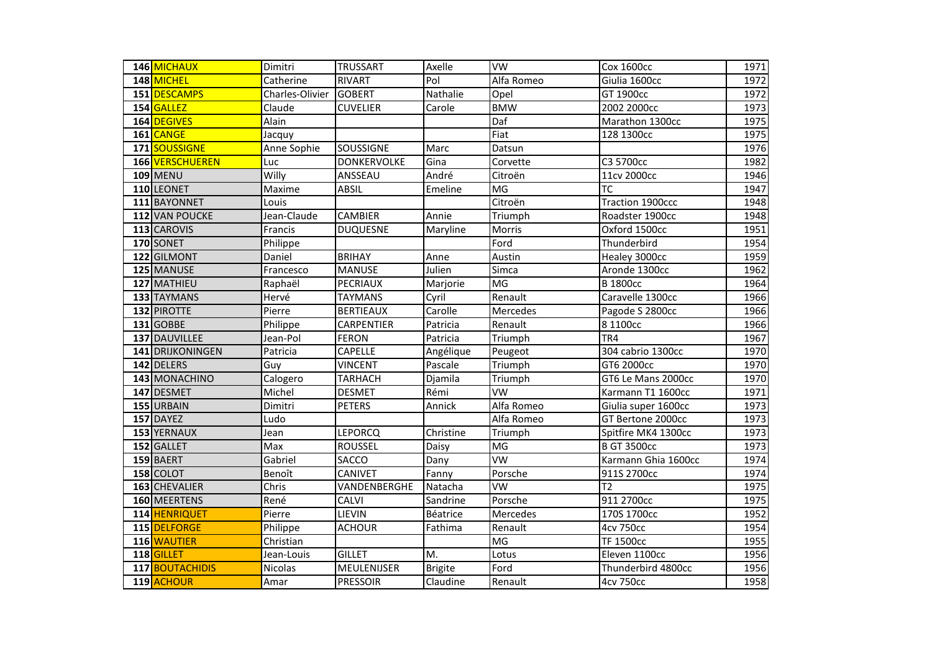| 146 MICHAUX      | Dimitri         | <b>TRUSSART</b>    | Axelle         | $\overline{\text{vw}}$ | <b>Cox 1600cc</b>   | 1971 |
|------------------|-----------------|--------------------|----------------|------------------------|---------------------|------|
| 148 MICHEL       | Catherine       | <b>RIVART</b>      | Pol            | Alfa Romeo             | Giulia 1600cc       | 1972 |
| 151 DESCAMPS     | Charles-Olivier | <b>GOBERT</b>      | Nathalie       | Opel                   | GT 1900cc           | 1972 |
| 154 GALLEZ       | Claude          | <b>CUVELIER</b>    | Carole         | <b>BMW</b>             | 2002 2000cc         | 1973 |
| 164 DEGIVES      | Alain           |                    |                | Daf                    | Marathon 1300cc     | 1975 |
| 161 CANGE        | Jacquy          |                    |                | Fiat                   | 128 1300cc          | 1975 |
| 171 SOUSSIGNE    | Anne Sophie     | SOUSSIGNE          | Marc           | Datsun                 |                     | 1976 |
| 166 VERSCHUEREN  | Luc             | <b>DONKERVOLKE</b> | Gina           | Corvette               | C3 5700cc           | 1982 |
| <b>109 MENU</b>  | Willy           | ANSSEAU            | André          | Citroën                | 11cv 2000cc         | 1946 |
| 110 LEONET       | Maxime          | <b>ABSIL</b>       | Emeline        | MG                     | <b>TC</b>           | 1947 |
| 111 BAYONNET     | Louis           |                    |                | Citroën                | Traction 1900ccc    | 1948 |
| 112 VAN POUCKE   | Jean-Claude     | <b>CAMBIER</b>     | Annie          | Triumph                | Roadster 1900cc     | 1948 |
| 113 CAROVIS      | Francis         | <b>DUQUESNE</b>    | Maryline       | Morris                 | Oxford 1500cc       | 1951 |
| 170 SONET        | Philippe        |                    |                | Ford                   | Thunderbird         | 1954 |
| 122 GILMONT      | Daniel          | <b>BRIHAY</b>      | Anne           | Austin                 | Healey 3000cc       | 1959 |
| 125 MANUSE       | Francesco       | <b>MANUSE</b>      | Julien         | Simca                  | Aronde 1300cc       | 1962 |
| 127 MATHIEU      | Raphaël         | PECRIAUX           | Marjorie       | MG                     | <b>B</b> 1800cc     | 1964 |
| 133 TAYMANS      | Hervé           | <b>TAYMANS</b>     | Cyril          | Renault                | Caravelle 1300cc    | 1966 |
| 132 PIROTTE      | Pierre          | <b>BERTIEAUX</b>   | Carolle        | Mercedes               | Pagode S 2800cc     | 1966 |
| 131 GOBBE        | Philippe        | CARPENTIER         | Patricia       | Renault                | 8 1100cc            | 1966 |
| 137 DAUVILLEE    | Jean-Pol        | <b>FERON</b>       | Patricia       | Triumph                | TR4                 | 1967 |
| 141 DRIJKONINGEN | Patricia        | CAPELLE            | Angélique      | Peugeot                | 304 cabrio 1300cc   | 1970 |
| 142 DELERS       | Guy             | <b>VINCENT</b>     | Pascale        | Triumph                | GT6 2000cc          | 1970 |
| 143 MONACHINO    | Calogero        | <b>TARHACH</b>     | Djamila        | Triumph                | GT6 Le Mans 2000cc  | 1970 |
| 147 DESMET       | Michel          | <b>DESMET</b>      | Rémi           | <b>VW</b>              | Karmann T1 1600cc   | 1971 |
| 155 URBAIN       | Dimitri         | <b>PETERS</b>      | Annick         | Alfa Romeo             | Giulia super 1600cc | 1973 |
| 157 DAYEZ        | Ludo            |                    |                | Alfa Romeo             | GT Bertone 2000cc   | 1973 |
| 153 YERNAUX      | Jean            | <b>LEPORCQ</b>     | Christine      | Triumph                | Spitfire MK4 1300cc | 1973 |
| 152 GALLET       | Max             | <b>ROUSSEL</b>     | Daisy          | MG                     | <b>B GT 3500cc</b>  | 1973 |
| 159 BAERT        | Gabriel         | SACCO              | Dany           | <b>VW</b>              | Karmann Ghia 1600cc | 1974 |
| 158 COLOT        | Benoît          | <b>CANIVET</b>     | Fanny          | Porsche                | 911S 2700cc         | 1974 |
| 163 CHEVALIER    | Chris           | VANDENBERGHE       | Natacha        | <b>VW</b>              | T <sub>2</sub>      | 1975 |
| 160 MEERTENS     | René            | CALVI              | Sandrine       | Porsche                | 911 2700cc          | 1975 |
| 114 HENRIQUET    | Pierre          | LIEVIN             | Béatrice       | Mercedes               | 170S 1700cc         | 1952 |
| 115 DELFORGE     | Philippe        | <b>ACHOUR</b>      | Fathima        | Renault                | <b>4cv 750cc</b>    | 1954 |
| 116 WAUTIER      | Christian       |                    |                | MG                     | <b>TF 1500cc</b>    | 1955 |
| 118 GILLET       | Jean-Louis      | <b>GILLET</b>      | M.             | Lotus                  | Eleven 1100cc       | 1956 |
| 117 BOUTACHIDIS  | Nicolas         | MEULENIJSER        | <b>Brigite</b> | Ford                   | Thunderbird 4800cc  | 1956 |
| 119 ACHOUR       | Amar            | <b>PRESSOIR</b>    | Claudine       | Renault                | <b>4cv 750cc</b>    | 1958 |